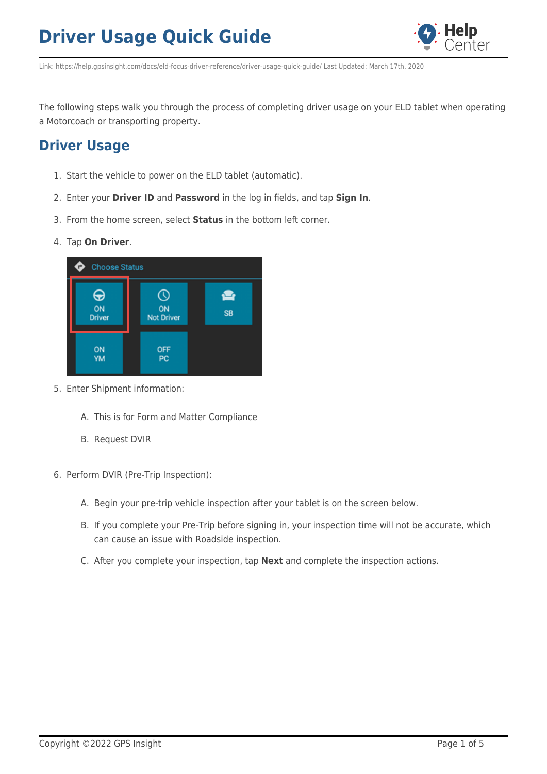

Link: https://help.gpsinsight.com/docs/eld-focus-driver-reference/driver-usage-quick-guide/ Last Updated: March 17th, 2020

The following steps walk you through the process of completing driver usage on your ELD tablet when operating a Motorcoach or transporting property.

#### **Driver Usage**

- 1. Start the vehicle to power on the ELD tablet (automatic).
- 2. Enter your **Driver ID** and **Password** in the log in fields, and tap **Sign In**.
- 3. From the home screen, select **Status** in the bottom left corner.
- 4. Tap **On Driver**.



- 5. Enter Shipment information:
	- A. This is for Form and Matter Compliance
	- B. Request DVIR
- 6. Perform DVIR (Pre-Trip Inspection):
	- A. Begin your pre-trip vehicle inspection after your tablet is on the screen below.
	- B. If you complete your Pre-Trip before signing in, your inspection time will not be accurate, which can cause an issue with Roadside inspection.
	- C. After you complete your inspection, tap **Next** and complete the inspection actions.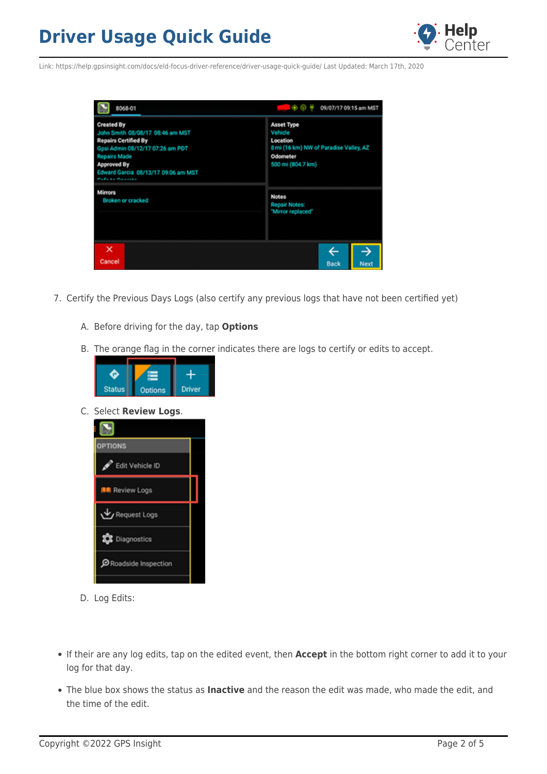

Link: https://help.gpsinsight.com/docs/eld-focus-driver-reference/driver-usage-quick-guide/ Last Updated: March 17th, 2020

| 8068-01                                                                                                                                                                                                                                  | $\bullet$ $\circ$<br>09/07/17 09:15 am MST                                                                          |  |  |  |
|------------------------------------------------------------------------------------------------------------------------------------------------------------------------------------------------------------------------------------------|---------------------------------------------------------------------------------------------------------------------|--|--|--|
| <b>Created By</b><br>John Smith 08/08/17 08:46 am MST<br><b>Repairs Certified By</b><br>Gpsi Admin 08/12/17 07:26 am PDT<br><b>Repairs Made</b><br><b>Approved By</b><br>Edward Garcia 08/13/17 09:06 am MST<br><b>Pada sa Provinsio</b> | <b>Asset Type</b><br>Vehicle<br>Location<br>8 mi (16 km) NW of Paradise Valley, AZ<br>Odometer<br>500 mi (804.7 km) |  |  |  |
| <b>Mirrors</b><br><b>Broken or cracked</b>                                                                                                                                                                                               | <b>Notes</b><br>Repair Notes:<br>"Mirror replaced"                                                                  |  |  |  |
| ×<br>Cancel                                                                                                                                                                                                                              | →<br><b>Back</b><br>Next                                                                                            |  |  |  |

- 7. Certify the Previous Days Logs (also certify any previous logs that have not been certified yet)
	- A. Before driving for the day, tap **Options**
	- B. The orange flag in the corner indicates there are logs to certify or edits to accept.



C. Select **Review Logs**.



- D. Log Edits:
- If their are any log edits, tap on the edited event, then **Accept** in the bottom right corner to add it to your log for that day.
- The blue box shows the status as **Inactive** and the reason the edit was made, who made the edit, and the time of the edit.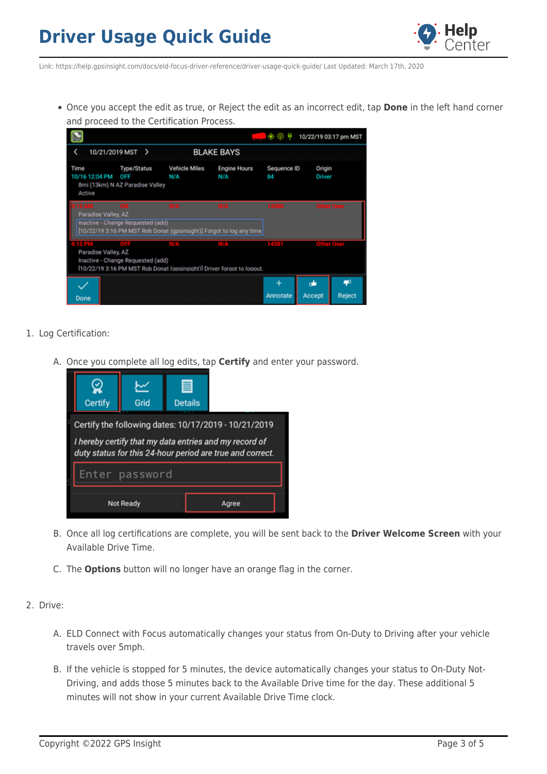

Link: https://help.gpsinsight.com/docs/eld-focus-driver-reference/driver-usage-quick-guide/ Last Updated: March 17th, 2020

Once you accept the edit as true, or Reject the edit as an incorrect edit, tap **Done** in the left hand corner and proceed to the Certification Process.

|                                                                                                                                                                                                                 |                                                                                                                                    |  |                      |                            |                   | $\circ$ (ii) |                  | 10/22/19 03:17 pm MST      |
|-----------------------------------------------------------------------------------------------------------------------------------------------------------------------------------------------------------------|------------------------------------------------------------------------------------------------------------------------------------|--|----------------------|----------------------------|-------------------|--------------|------------------|----------------------------|
|                                                                                                                                                                                                                 | <b>BLAKE BAYS</b><br>10/21/2019 MST >                                                                                              |  |                      |                            |                   |              |                  |                            |
| Time                                                                                                                                                                                                            | Type/Status<br>10/16 12:04 PM<br>OFF<br>8mi (13km) N AZ Paradise Valley<br>Active                                                  |  | Vehicle Miles<br>N/A | <b>Engine Hours</b><br>N/A | Sequence ID<br>84 |              | Origin<br>Driver |                            |
| 14380<br><b>5 AM</b><br><b>Other User</b><br>ON<br><b>N/A</b><br><b>N/A</b><br>Paradise Valley, AZ<br>Inactive - Change Requested (add)<br>[10/22/19 3:16 PM MST Rob Donat (gpsinsight)] Forgot to log any time |                                                                                                                                    |  |                      |                            |                   |              |                  |                            |
|                                                                                                                                                                                                                 | Paradise Valley, AZ<br>Inactive - Change Requested (add)<br>[10/22/19 3:16 PM MST Rob Donat (apsinsight)] Driver forgot to logout. |  |                      |                            |                   |              |                  |                            |
| Done                                                                                                                                                                                                            |                                                                                                                                    |  |                      |                            |                   | Annotate     | n de<br>Accept   | <b>PO</b><br><b>Reject</b> |

- 1. Log Certification:
	- A. Once you complete all log edits, tap **Certify** and enter your password.



- B. Once all log certifications are complete, you will be sent back to the **Driver Welcome Screen** with your Available Drive Time.
- C. The **Options** button will no longer have an orange flag in the corner.

#### 2. Drive:

- A. ELD Connect with Focus automatically changes your status from On-Duty to Driving after your vehicle travels over 5mph.
- B. If the vehicle is stopped for 5 minutes, the device automatically changes your status to On-Duty Not-Driving, and adds those 5 minutes back to the Available Drive time for the day. These additional 5 minutes will not show in your current Available Drive Time clock.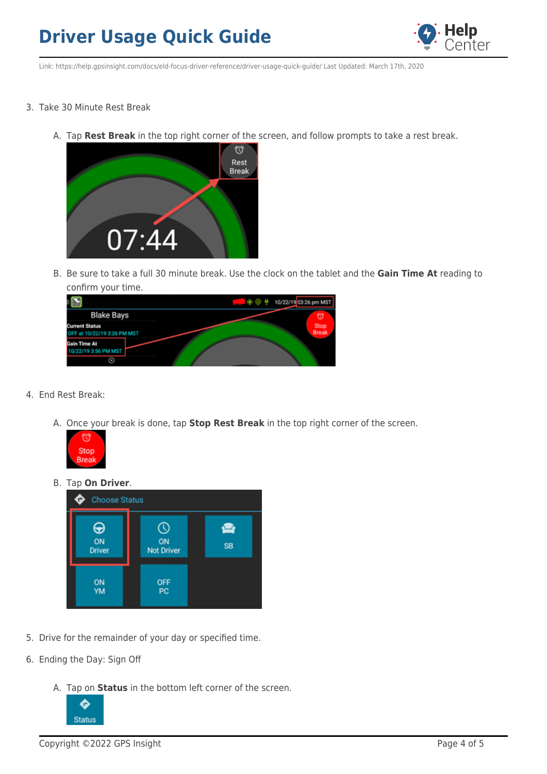

Link: https://help.gpsinsight.com/docs/eld-focus-driver-reference/driver-usage-quick-guide/ Last Updated: March 17th, 2020

- 3. Take 30 Minute Rest Break
	- A. Tap **Rest Break** in the top right corner of the screen, and follow prompts to take a rest break.



B. Be sure to take a full 30 minute break. Use the clock on the tablet and the **Gain Time At** reading to confirm your time.

|                                                      | 10/22/19 03:26 pm MST |
|------------------------------------------------------|-----------------------|
| <b>Blake Bays</b>                                    | 付                     |
| <b>Current Status</b><br>OFF at 10/22/19 3:26 PM MST | Stop<br>Break         |
| Gain Time At<br>10/22/19 3:56 PM MST                 |                       |
| ⊙                                                    |                       |

- 4. End Rest Break:
	- A. Once your break is done, tap **Stop Rest Break** in the top right corner of the screen.



B. Tap **On Driver**.



- 5. Drive for the remainder of your day or specified time.
- 6. Ending the Day: Sign Off
	- A. Tap on **Status** in the bottom left corner of the screen.